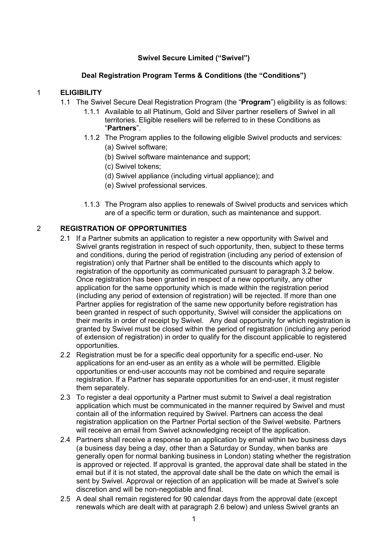# **Swivel Secure Limited ("Swivel")**

### **Deal Registration Program Terms & Conditions (the "Conditions")**

### 1 **ELIGIBILITY**

- 1.1 The Swivel Secure Deal Registration Program (the "**Program**") eligibility is as follows:
	- 1.1.1 Available to all Platinum, Gold and Silver partner resellers of Swivel in all territories. Eligible resellers will be referred to in these Conditions as "**Partners**".
	- 1.1.2 The Program applies to the following eligible Swivel products and services:
		- (a) Swivel software;
		- (b) Swivel software maintenance and support;
		- (c) Swivel tokens;
		- (d) Swivel appliance (including virtual appliance); and
		- (e) Swivel professional services.
	- 1.1.3 The Program also applies to renewals of Swivel products and services which are of a specific term or duration, such as maintenance and support.

# 2 **REGISTRATION OF OPPORTUNITIES**

- 2.1 If a Partner submits an application to register a new opportunity with Swivel and Swivel grants registration in respect of such opportunity, then, subject to these terms and conditions, during the period of registration (including any period of extension of registration) only that Partner shall be entitled to the discounts which apply to registration of the opportunity as communicated pursuant to paragraph 3.2 below. Once registration has been granted in respect of a new opportunity, any other application for the same opportunity which is made within the registration period (including any period of extension of registration) will be rejected. If more than one Partner applies for registration of the same new opportunity before registration has been granted in respect of such opportunity, Swivel will consider the applications on their merits in order of receipt by Swivel. Any deal opportunity for which registration is granted by Swivel must be closed within the period of registration (including any period of extension of registration) in order to qualify for the discount applicable to registered opportunities.
- 2.2 Registration must be for a specific deal opportunity for a specific end-user. No applications for an end-user as an entity as a whole will be permitted. Eligible opportunities or end-user accounts may not be combined and require separate registration. If a Partner has separate opportunities for an end-user, it must register them separately.
- 2.3 To register a deal opportunity a Partner must submit to Swivel a deal registration application which must be communicated in the manner required by Swivel and must contain all of the information required by Swivel. Partners can access the deal registration application on the Partner Portal section of the Swivel website. Partners will receive an email from Swivel acknowledging receipt of the application.
- 2.4 Partners shall receive a response to an application by email within two business days (a business day being a day, other than a Saturday or Sunday, when banks are generally open for normal banking business in London) stating whether the registration is approved or rejected. If approval is granted, the approval date shall be stated in the email but if it is not stated, the approval date shall be the date on which the email is sent by Swivel. Approval or rejection of an application will be made at Swivel's sole discretion and will be non-negotiable and final.
- 2.5 A deal shall remain registered for 90 calendar days from the approval date (except renewals which are dealt with at paragraph 2.6 below) and unless Swivel grants an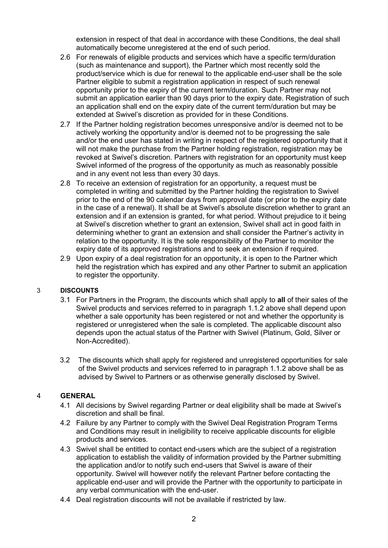extension in respect of that deal in accordance with these Conditions, the deal shall automatically become unregistered at the end of such period.

- 2.6 For renewals of eligible products and services which have a specific term/duration (such as maintenance and support), the Partner which most recently sold the product/service which is due for renewal to the applicable end-user shall be the sole Partner eligible to submit a registration application in respect of such renewal opportunity prior to the expiry of the current term/duration. Such Partner may not submit an application earlier than 90 days prior to the expiry date. Registration of such an application shall end on the expiry date of the current term/duration but may be extended at Swivel's discretion as provided for in these Conditions.
- 2.7 If the Partner holding registration becomes unresponsive and/or is deemed not to be actively working the opportunity and/or is deemed not to be progressing the sale and/or the end user has stated in writing in respect of the registered opportunity that it will not make the purchase from the Partner holding registration, registration may be revoked at Swivel's discretion. Partners with registration for an opportunity must keep Swivel informed of the progress of the opportunity as much as reasonably possible and in any event not less than every 30 days.
- 2.8 To receive an extension of registration for an opportunity, a request must be completed in writing and submitted by the Partner holding the registration to Swivel prior to the end of the 90 calendar days from approval date (or prior to the expiry date in the case of a renewal). It shall be at Swivel's absolute discretion whether to grant an extension and if an extension is granted, for what period. Without prejudice to it being at Swivel's discretion whether to grant an extension, Swivel shall act in good faith in determining whether to grant an extension and shall consider the Partner's activity in relation to the opportunity. It is the sole responsibility of the Partner to monitor the expiry date of its approved registrations and to seek an extension if required.
- 2.9 Upon expiry of a deal registration for an opportunity, it is open to the Partner which held the registration which has expired and any other Partner to submit an application to register the opportunity.

#### 3 **DISCOUNTS**

- 3.1 For Partners in the Program, the discounts which shall apply to **all** of their sales of the Swivel products and services referred to in paragraph 1.1.2 above shall depend upon whether a sale opportunity has been registered or not and whether the opportunity is registered or unregistered when the sale is completed. The applicable discount also depends upon the actual status of the Partner with Swivel (Platinum, Gold, Silver or Non-Accredited).
- 3.2 The discounts which shall apply for registered and unregistered opportunities for sale of the Swivel products and services referred to in paragraph 1.1.2 above shall be as advised by Swivel to Partners or as otherwise generally disclosed by Swivel.

#### 4 **GENERAL**

- 4.1 All decisions by Swivel regarding Partner or deal eligibility shall be made at Swivel's discretion and shall be final.
- 4.2 Failure by any Partner to comply with the Swivel Deal Registration Program Terms and Conditions may result in ineligibility to receive applicable discounts for eligible products and services.
- 4.3 Swivel shall be entitled to contact end-users which are the subject of a registration application to establish the validity of information provided by the Partner submitting the application and/or to notify such end-users that Swivel is aware of their opportunity. Swivel will however notify the relevant Partner before contacting the applicable end-user and will provide the Partner with the opportunity to participate in any verbal communication with the end-user.
- 4.4 Deal registration discounts will not be available if restricted by law.